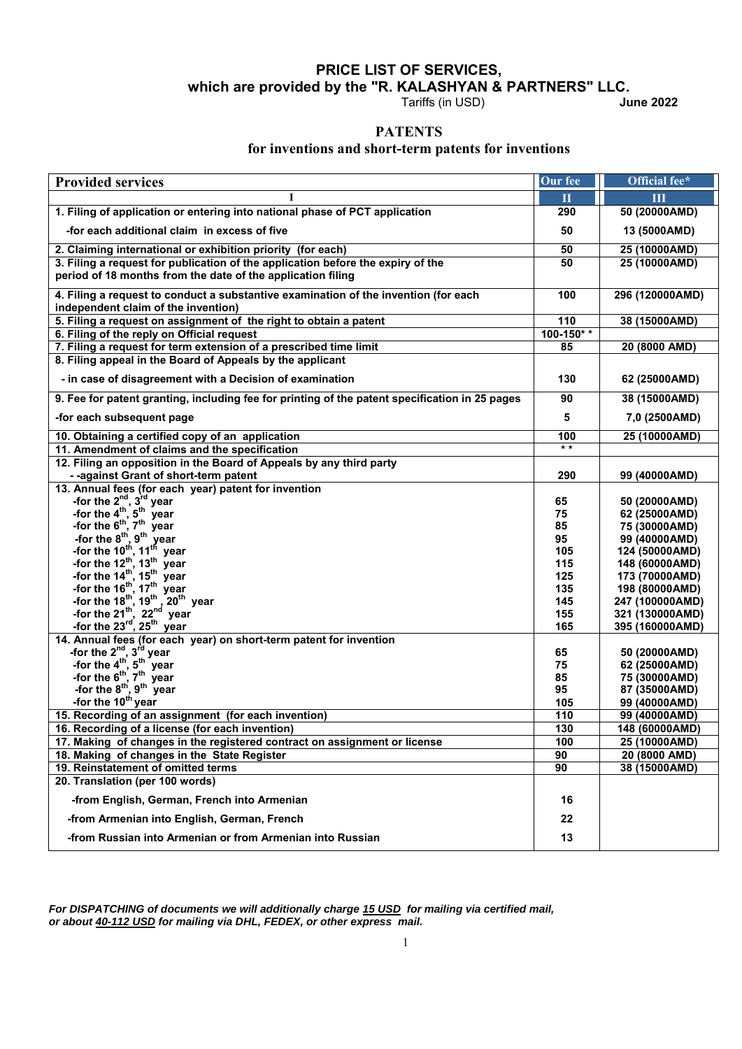# **PRICE LIST OF SERVICES, which are provided by the "R. KALASHYAN & PARTNERS" LLC.**<br>June 2022

Tariffs (in USD)

### **PATENTS**

### **for inventions and short-term patents for inventions**

| <b>Provided services</b>                                                                                                                                                                             | <b>Our fee</b> | Official fee*                  |
|------------------------------------------------------------------------------------------------------------------------------------------------------------------------------------------------------|----------------|--------------------------------|
|                                                                                                                                                                                                      | $\mathbf \Pi$  | III                            |
| 1. Filing of application or entering into national phase of PCT application                                                                                                                          | 290            | 50 (20000AMD)                  |
| -for each additional claim in excess of five                                                                                                                                                         | 50             | 13 (5000AMD)                   |
| 2. Claiming international or exhibition priority (for each)                                                                                                                                          | 50             | 25 (10000AMD)                  |
| 3. Filing a request for publication of the application before the expiry of the<br>period of 18 months from the date of the application filing                                                       | 50             | 25 (10000AMD)                  |
| 4. Filing a request to conduct a substantive examination of the invention (for each<br>independent claim of the invention)                                                                           | 100            | 296 (120000AMD)                |
| 5. Filing a request on assignment of the right to obtain a patent                                                                                                                                    | 110            | 38 (15000AMD)                  |
| 6. Filing of the reply on Official request                                                                                                                                                           | $100 - 150**$  |                                |
| 7. Filing a request for term extension of a prescribed time limit                                                                                                                                    | 85             | 20 (8000 AMD)                  |
| 8. Filing appeal in the Board of Appeals by the applicant                                                                                                                                            |                |                                |
| - in case of disagreement with a Decision of examination                                                                                                                                             | 130            | 62 (25000AMD)                  |
| 9. Fee for patent granting, including fee for printing of the patent specification in 25 pages                                                                                                       | 90             | 38 (15000AMD)                  |
| -for each subsequent page                                                                                                                                                                            | 5              | 7,0 (2500AMD)                  |
| 10. Obtaining a certified copy of an application                                                                                                                                                     | 100            | 25 (10000AMD)                  |
| 11. Amendment of claims and the specification                                                                                                                                                        | $* *$          |                                |
| 12. Filing an opposition in the Board of Appeals by any third party                                                                                                                                  |                |                                |
| - - against Grant of short-term patent                                                                                                                                                               | 290            | 99 (40000AMD)                  |
| 13. Annual fees (for each year) patent for invention                                                                                                                                                 |                |                                |
| -for the $2^{nd}$ , $3^{rd}$ year<br>-for the $4^{th}$ , $5^{th}$ year<br>-for the $6^{th}$ , $7^{th}$ year                                                                                          | 65<br>75       | 50 (20000AMD)<br>62 (25000AMD) |
|                                                                                                                                                                                                      | 85             | 75 (30000AMD)                  |
| year                                                                                                                                                                                                 | 95             | 99 (40000AMD)                  |
| -for the $8^{th}$ , $9^{th}$ y <sup>t</sup><br>-for the 10 <sup>th</sup> , 11 <sup>th</sup><br>-for the 12 <sup>th</sup> , 13 <sup>th</sup><br>year                                                  | 105            | 124 (50000AMD)                 |
| year<br>year                                                                                                                                                                                         | 115            | 148 (60000AMD)                 |
| -for the $14^{th}$ , $15^{th}$                                                                                                                                                                       | 125            | 173 (70000AMD)                 |
| year<br>year                                                                                                                                                                                         | 135            | 198 (80000AMD)                 |
| -for the 16 <sup>th</sup> , 17 <sup>th</sup><br>-for the 18 <sup>th</sup> , 19 <sup>th</sup> ,<br>20 <sup>th</sup> year                                                                              | 145            | 247 (100000AMD)                |
| year                                                                                                                                                                                                 | 155            | 321 (130000AMD)                |
| -for the $21^{th}$ , $22^{nd}$<br>-for the $23^{rd}$ , $25^{th}$<br>year                                                                                                                             | 165            | 395 (160000AMD)                |
| 14. Annual fees (for each year) on short-term patent for invention                                                                                                                                   |                |                                |
| for the 2 <sup>nd</sup> , 3 <sup>nd</sup> year<br>for the 4 <sup>th</sup> , 5 <sup>th</sup> year<br>for the 6 <sup>th</sup> , 7 <sup>th</sup> year<br>for the 8 <sup>th</sup> , 9 <sup>th</sup> year | 65             | 50 (20000AMD)                  |
|                                                                                                                                                                                                      | 75             | 62 (25000AMD)                  |
|                                                                                                                                                                                                      | 85             | 75 (30000AMD)                  |
|                                                                                                                                                                                                      | 95             | 87 (35000AMD)                  |
| -for the 10 <sup>th</sup> year                                                                                                                                                                       | 105            | 99 (40000AMD)                  |
| 15. Recording of an assignment (for each invention)                                                                                                                                                  | 110            | 99 (40000AMD)                  |
| 16. Recording of a license (for each invention)                                                                                                                                                      | 130            | 148 (60000AMD)                 |
| 17. Making of changes in the registered contract on assignment or license                                                                                                                            | 100            | 25 (10000AMD)                  |
| 18. Making of changes in the State Register                                                                                                                                                          | 90             | 20 (8000 AMD)                  |
| 19. Reinstatement of omitted terms                                                                                                                                                                   | 90             | 38 (15000AMD)                  |
| 20. Translation (per 100 words)                                                                                                                                                                      |                |                                |
| -from English, German, French into Armenian                                                                                                                                                          | 16             |                                |
| -from Armenian into English, German, French                                                                                                                                                          | 22             |                                |
| -from Russian into Armenian or from Armenian into Russian                                                                                                                                            | 13             |                                |

*For DISPATCHING of documents we will additionally charge 15 USD for mailing via certified mail, or about 40-112 USD for mailing via DHL, FEDEX, or other express mail.*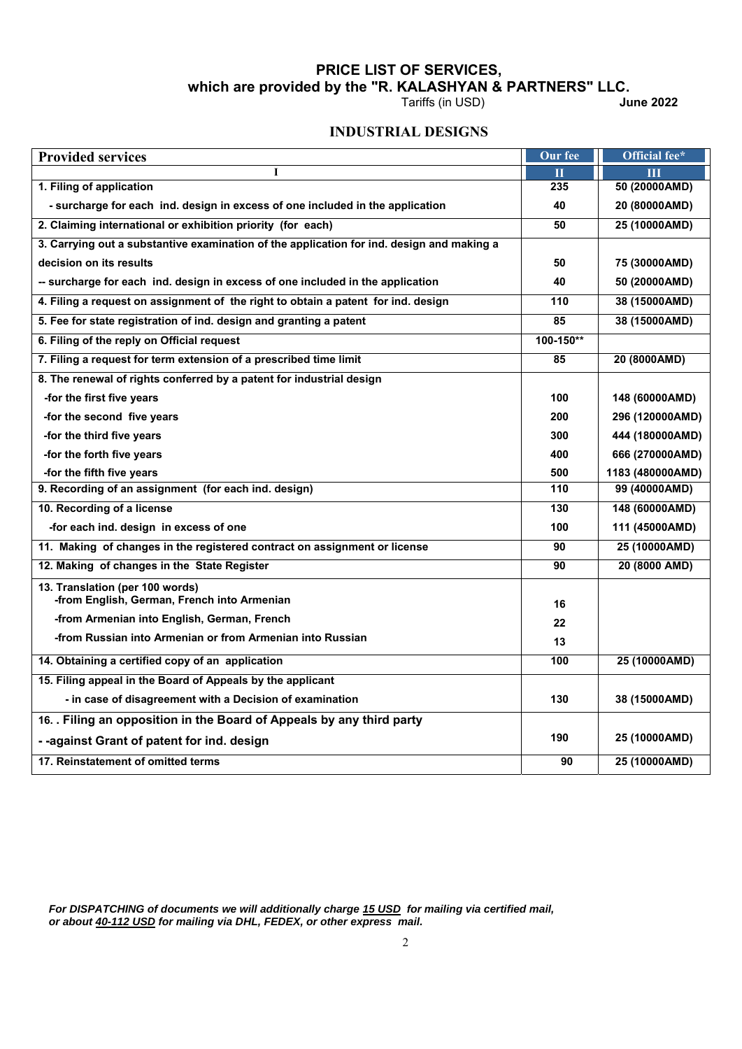# **PRICE LIST OF SERVICES, which are provided by the "R. KALASHYAN & PARTNERS" LLC.**<br>June 2022

Tariffs (in USD)

#### **INDUSTRIAL DESIGNS**

| <b>Provided services</b>                                                                  | <b>Our fee</b> | Official fee*    |
|-------------------------------------------------------------------------------------------|----------------|------------------|
| I                                                                                         | П              | Ш                |
| 1. Filing of application                                                                  | 235            | 50 (20000AMD)    |
| - surcharge for each ind. design in excess of one included in the application             | 40             | 20 (80000AMD)    |
| 2. Claiming international or exhibition priority (for each)                               | 50             | 25 (10000AMD)    |
| 3. Carrying out a substantive examination of the application for ind. design and making a |                |                  |
| decision on its results                                                                   | 50             | 75 (30000AMD)    |
| -- surcharge for each ind. design in excess of one included in the application            | 40             | 50 (20000AMD)    |
| 4. Filing a request on assignment of the right to obtain a patent for ind. design         | 110            | 38 (15000AMD)    |
| 5. Fee for state registration of ind. design and granting a patent                        | 85             | 38 (15000AMD)    |
| 6. Filing of the reply on Official request                                                | 100-150**      |                  |
| 7. Filing a request for term extension of a prescribed time limit                         | 85             | 20 (8000AMD)     |
| 8. The renewal of rights conferred by a patent for industrial design                      |                |                  |
| -for the first five years                                                                 | 100            | 148 (60000AMD)   |
| -for the second five years                                                                | 200            | 296 (120000AMD)  |
| -for the third five years                                                                 | 300            | 444 (180000AMD)  |
| -for the forth five years                                                                 | 400            | 666 (270000AMD)  |
| -for the fifth five years                                                                 | 500            | 1183 (480000AMD) |
| 9. Recording of an assignment (for each ind. design)                                      | 110            | 99 (40000AMD)    |
| 10. Recording of a license                                                                | 130            | 148 (60000AMD)   |
| -for each ind. design in excess of one                                                    | 100            | 111 (45000AMD)   |
| 11. Making of changes in the registered contract on assignment or license                 | 90             | 25 (10000AMD)    |
| 12. Making of changes in the State Register                                               | 90             | 20 (8000 AMD)    |
| 13. Translation (per 100 words)                                                           |                |                  |
| -from English, German, French into Armenian                                               | 16             |                  |
| -from Armenian into English, German, French                                               | 22             |                  |
| -from Russian into Armenian or from Armenian into Russian                                 | 13             |                  |
| 14. Obtaining a certified copy of an application                                          | 100            | 25 (10000AMD)    |
| 15. Filing appeal in the Board of Appeals by the applicant                                |                |                  |
| - in case of disagreement with a Decision of examination                                  | 130            | 38 (15000AMD)    |
| 16. Filing an opposition in the Board of Appeals by any third party                       |                |                  |
| - -against Grant of patent for ind. design                                                | 190            | 25 (10000AMD)    |
| 17. Reinstatement of omitted terms                                                        | 90             | 25 (10000AMD)    |

*For DISPATCHING of documents we will additionally charge 15 USD for mailing via certified mail, or about 40-112 USD for mailing via DHL, FEDEX, or other express mail.*